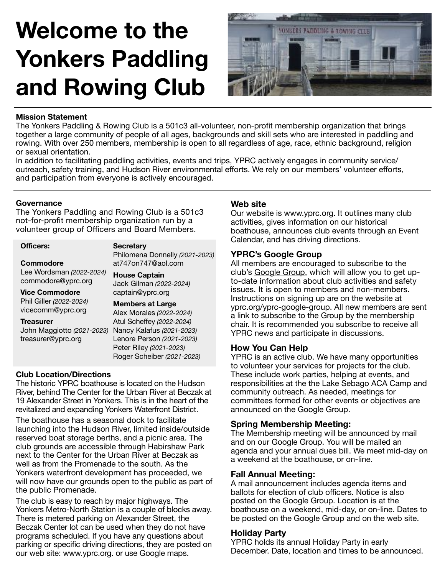# **Welcome to the Yonkers Paddling and Rowing Club**



#### **Mission Statement**

The Yonkers Paddling & Rowing Club is a 501c3 all-volunteer, non-profit membership organization that brings together a large community of people of all ages, backgrounds and skill sets who are interested in paddling and rowing. With over 250 members, membership is open to all regardless of age, race, ethnic background, religion or sexual orientation.

In addition to facilitating paddling activities, events and trips, YPRC actively engages in community service/ outreach, safety training, and Hudson River environmental efforts. We rely on our members' volunteer efforts, and participation from everyone is actively encouraged.

#### **Governance**

The Yonkers Paddling and Rowing Club is a 501c3 not-for-profit membership organization run by a volunteer group of Officers and Board Members.

#### **Officers:**

#### **Commodore**

**Secretary** 

Philomena Donnelly *(2021-2023)* at747on747@aol.com

Lee Wordsman *(2022-2024)* commodore@yprc.org

#### **Vice Commodore**

Phil Giller *(2022-2024)* vicecomm@yprc.org

#### **Treasurer**

John Maggiotto *(2021-2023)*  Nancy Kalafus *(2021-2023)* treasurer@yprc.org

**House Captain**  Jack Gilman *(2022-2024)* captain@yprc.org

**Members at Large**  Alex Morales *(2022-2024)*  Atul Scheffey *(2022-2024)*

Lenore Person *(2021-2023)*  Peter Riley *(2021-2023)* Roger Scheiber *(2021-2023)*

#### **Club Location/Directions**

The historic YPRC boathouse is located on the Hudson River, behind The Center for the Urban River at Beczak at 19 Alexander Street in Yonkers. This is in the heart of the revitalized and expanding Yonkers Waterfront District.

The boathouse has a seasonal dock to facilitate launching into the Hudson River, limited inside/outside reserved boat storage berths, and a picnic area. The club grounds are accessible through Habirshaw Park next to the Center for the Urban River at Beczak as well as from the Promenade to the south. As the Yonkers waterfront development has proceeded, we will now have our grounds open to the public as part of the public Promenade.

The club is easy to reach by major highways. The Yonkers Metro-North Station is a couple of blocks away. There is metered parking on Alexander Street, the Beczak Center lot can be used when they do not have programs scheduled. If you have any questions about parking or specific driving directions, they are posted on our web site: www.yprc.org. or use Google maps.

#### **Web site**

Our website is www.yprc.org. It outlines many club activities, gives information on our historical boathouse, announces club events through an Event Calendar, and has driving directions.

#### **YPRC's Google Group**

All members are encouraged to subscribe to the club's [Google Group,](https://www.yprc.org/yprc-google-group.html) which will allow you to get upto-date information about club activities and safety issues. It is open to members and non-members. Instructions on signing up are on the website at yprc.org/yprc-google-group. All new members are sent a link to subscribe to the Group by the membership chair. It is recommended you subscribe to receive all YPRC news and participate in discussions.

#### **How You Can Help**

YPRC is an active club. We have many opportunities to volunteer your services for projects for the club. These include work parties, helping at events, and responsibilities at the the Lake Sebago ACA Camp and community outreach. As needed, meetings for committees formed for other events or objectives are announced on the Google Group.

#### **Spring Membership Meeting:**

The Membership meeting will be announced by mail and on our Google Group. You will be mailed an agenda and your annual dues bill. We meet mid-day on a weekend at the boathouse, or on-line.

#### **Fall Annual Meeting:**

A mail announcement includes agenda items and ballots for election of club officers. Notice is also posted on the Google Group. Location is at the boathouse on a weekend, mid-day, or on-line. Dates to be posted on the Google Group and on the web site.

#### **Holiday Party**

YPRC holds its annual Holiday Party in early December. Date, location and times to be announced.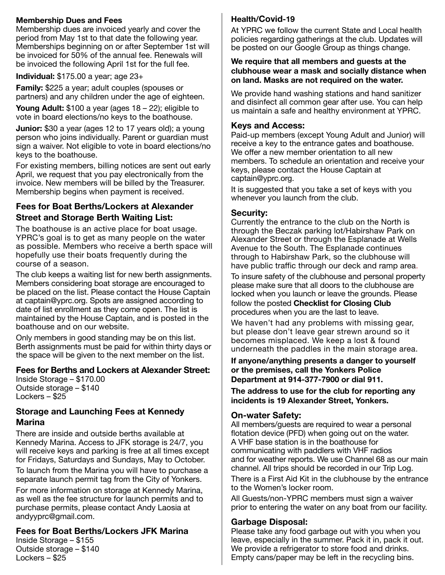#### **Membership Dues and Fees**

Membership dues are invoiced yearly and cover the period from May 1st to that date the following year. Memberships beginning on or after September 1st will be invoiced for 50% of the annual fee. Renewals will be invoiced the following April 1st for the full fee.

**Individual:** \$175.00 a year; age 23+

**Family:** \$225 a year; adult couples (spouses or partners) and any children under the age of eighteen.

**Young Adult:** \$100 a year (ages 18 – 22); eligible to vote in board elections/no keys to the boathouse.

**Junior:** \$30 a year (ages 12 to 17 years old); a young person who joins individually. Parent or guardian must sign a waiver. Not eligible to vote in board elections/no keys to the boathouse.

For existing members, billing notices are sent out early April, we request that you pay electronically from the invoice. New members will be billed by the Treasurer. Membership begins when payment is received.

#### **Fees for Boat Berths/Lockers at Alexander Street and Storage Berth Waiting List:**

The boathouse is an active place for boat usage. YPRC's goal is to get as many people on the water as possible. Members who receive a berth space will hopefully use their boats frequently during the course of a season.

The club keeps a waiting list for new berth assignments. Members considering boat storage are encouraged to be placed on the list. Please contact the House Captain at captain@yprc.org. Spots are assigned according to date of list enrollment as they come open. The list is maintained by the House Captain, and is posted in the boathouse and on our website.

Only members in good standing may be on this list. Berth assignments must be paid for within thirty days or the space will be given to the next member on the list.

#### **Fees for Berths and Lockers at Alexander Street:**

Inside Storage – \$170.00 Outside storage – \$140 Lockers – \$25

#### **Storage and Launching Fees at Kennedy Marina**

There are inside and outside berths available at Kennedy Marina. Access to JFK storage is 24/7, you will receive keys and parking is free at all times except for Fridays, Saturdays and Sundays, May to October.

To launch from the Marina you will have to purchase a separate launch permit tag from the City of Yonkers.

For more information on storage at Kennedy Marina, as well as the fee structure for launch permits and to purchase permits, please contact Andy Laosia at [andyyprc@gmail.com](mailto:andyyprc@gmail.com).

#### **Fees for Boat Berths/Lockers JFK Marina**

Inside Storage – \$155 Outside storage – \$140 Lockers – \$25

#### **Health/Covid-19**

At YPRC we follow the current State and Local health policies regarding gatherings at the club. Updates will be posted on our Google Group as things change.

#### **We require that all members and guests at the clubhouse wear a mask and socially distance when on land. Masks are not required on the water.**

We provide hand washing stations and hand sanitizer and disinfect all common gear after use. You can help us maintain a safe and healthy environment at YPRC.

#### **Keys and Access:**

Paid-up members (except Young Adult and Junior) will receive a key to the entrance gates and boathouse. We offer a new member orientation to all new members. To schedule an orientation and receive your keys, please contact the House Captain at captain@yprc.org.

It is suggested that you take a set of keys with you whenever you launch from the club.

#### **Security:**

Currently the entrance to the club on the North is through the Beczak parking lot/Habirshaw Park on Alexander Street or through the Esplanade at Wells Avenue to the South. The Esplanade continues through to Habirshaw Park, so the clubhouse will have public traffic through our deck and ramp area.

To insure safety of the clubhouse and personal property please make sure that all doors to the clubhouse are locked when you launch or leave the grounds. Please follow the posted **Checklist for Closing Club** procedures when you are the last to leave.

We haven't had any problems with missing gear, but please don't leave gear strewn around so it becomes misplaced. We keep a lost & found underneath the paddles in the main storage area.

#### **If anyone/anything presents a danger to yourself or the premises, call the Yonkers Police Department at 914-377-7900 or dial 911.**

**The address to use for the club for reporting any incidents is 19 Alexander Street, Yonkers.** 

#### **On-water Safety:**

All members/guests are required to wear a personal flotation device (PFD) when going out on the water. A VHF base station is in the boathouse for communicating with paddlers with VHF radios and for weather reports. We use Channel 68 as our main channel. All trips should be recorded in our Trip Log.

There is a First Aid Kit in the clubhouse by the entrance to the Women's locker room.

All Guests/non-YPRC members must sign a waiver prior to entering the water on any boat from our facility.

#### **Garbage Disposal:**

Please take any food garbage out with you when you leave, especially in the summer. Pack it in, pack it out. We provide a refrigerator to store food and drinks. Empty cans/paper may be left in the recycling bins.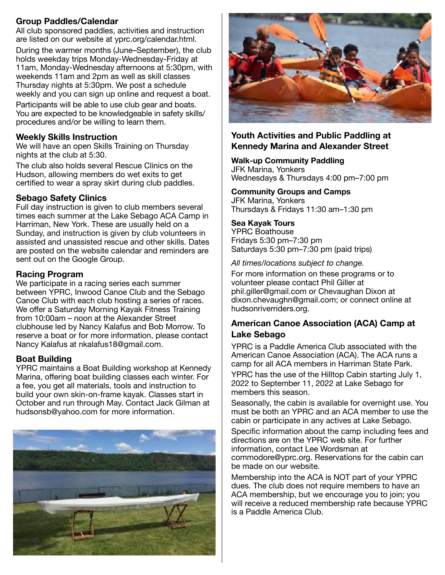#### **Group Paddles/Calendar**

All club sponsored paddles, activities and instruction are listed on our website at yprc.org/calendar.html.

During the warmer months (June–September), the club holds weekday trips Monday-Wednesday-Friday at 11am, Monday-Wednesday afternoons at 5:30pm, with weekends 11am and 2pm as well as skill classes Thursday nights at 5:30pm. We post a schedule weekly and you can sign up online and request a boat.

Participants will be able to use club gear and boats. You are expected to be knowledgeable in safety skills/ procedures and/or be willing to learn them.

#### **Weekly Skills Instruction**

We will have an open Skills Training on Thursday nights at the club at 5:30.

The club also holds several Rescue Clinics on the Hudson, allowing members do wet exits to get certified to wear a spray skirt during club paddles.

#### **Sebago Safety Clinics**

Full day instruction is given to club members several times each summer at the Lake Sebago ACA Camp in Harriman, New York. These are usually held on a Sunday, and instruction is given by club volunteers in assisted and unassisted rescue and other skills. Dates are posted on the website calendar and reminders are sent out on the Google Group.

#### **Racing Program**

We participate in a racing series each summer between YPRC, Inwood Canoe Club and the Sebago Canoe Club with each club hosting a series of races. We offer a Saturday Morning Kayak Fitness Training from 10:00am – noon at the Alexander Street clubhouse led by Nancy Kalafus and Bob Morrow. To reserve a boat or for more information, please contact Nancy Kalafus at [nkalafus18@gmail.com.](mailto:nkalafus18@gmail.com)

#### **Boat Building**

YPRC maintains a Boat Building workshop at Kennedy Marina, offering boat building classes each winter. For a fee, you get all materials, tools and instruction to build your own skin-on-frame kayak. Classes start in October and run through May. Contact Jack Gilman at hudsonsb@yahoo.com for more information.





#### **Youth Activities and Public Paddling at Kennedy Marina and Alexander Street**

#### **Walk-up Community Paddling**

JFK Marina, Yonkers Wednesdays & Thursdays 4:00 pm–7:00 pm

# **Community Groups and Camps**

JFK Marina, Yonkers Thursdays & Fridays 11:30 am–1:30 pm

#### **Sea Kayak Tours**

YPRC Boathouse Fridays 5:30 pm–7:30 pm Saturdays 5:30 pm–7:30 pm (paid trips)

*All times/locations subject to change.* 

For more information on these programs or to volunteer please contact Phil Giller at phil.giller@gmail.com or Chevaughan Dixon at dixon.chevaughn@gmail.com; or connect online at hudsonriverriders.org.

#### **American Canoe Association (ACA) Camp at Lake Sebago**

YPRC is a Paddle America Club associated with the American Canoe Association (ACA). The ACA runs a camp for all ACA members in Harriman State Park.

YPRC has the use of the Hilltop Cabin starting July 1, 2022 to September 11, 2022 at Lake Sebago for members this season.

Seasonally, the cabin is available for overnight use. You must be both an YPRC and an ACA member to use the cabin or participate in any actives at Lake Sebago.

Specific information about the camp including fees and directions are on the YPRC web site. For further information, contact Lee Wordsman at commodore@yprc.org. Reservations for the cabin can be made on our website.

Membership into the ACA is NOT part of your YPRC dues. The club does not require members to have an ACA membership, but we encourage you to join; you will receive a reduced membership rate because YPRC is a Paddle America Club.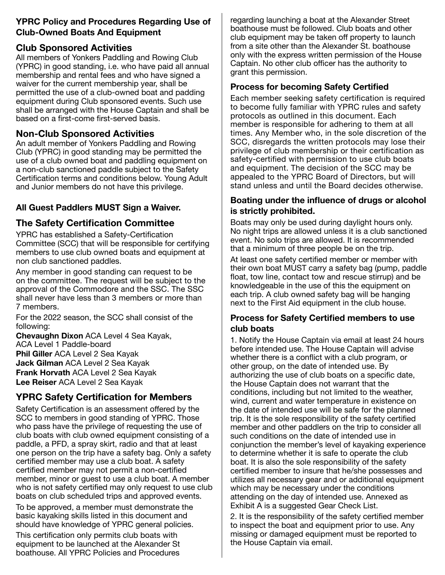# **YPRC Policy and Procedures Regarding Use of Club-Owned Boats And Equipment**

# **Club Sponsored Activities**

All members of Yonkers Paddling and Rowing Club (YPRC) in good standing, i.e. who have paid all annual membership and rental fees and who have signed a waiver for the current membership year, shall be permitted the use of a club-owned boat and padding equipment during Club sponsored events. Such use shall be arranged with the House Captain and shall be based on a first-come first-served basis.

# **Non-Club Sponsored Activities**

An adult member of Yonkers Paddling and Rowing Club (YPRC) in good standing may be permitted the use of a club owned boat and paddling equipment on a non-club sanctioned paddle subject to the Safety Certification terms and conditions below. Young Adult and Junior members do not have this privilege.

# **All Guest Paddlers MUST Sign a Waiver.**

# **The Safety Certification Committee**

YPRC has established a Safety-Certification Committee (SCC) that will be responsible for certifying members to use club owned boats and equipment at non club sanctioned paddles.

Any member in good standing can request to be on the committee. The request will be subject to the approval of the Commodore and the SSC. The SSC shall never have less than 3 members or more than 7 members.

For the 2022 season, the SCC shall consist of the following:

**Chevaughn Dixon** ACA Level 4 Sea Kayak, ACA Level 1 Paddle-board **Phil Giller** ACA Level 2 Sea Kayak **Jack Gilman** ACA Level 2 Sea Kayak **Frank Horvath** ACA Level 2 Sea Kayak **Lee Reiser** ACA Level 2 Sea Kayak

# **YPRC Safety Certification for Members**

Safety Certification is an assessment offered by the SCC to members in good standing of YPRC. Those who pass have the privilege of requesting the use of club boats with club owned equipment consisting of a paddle, a PFD, a spray skirt, radio and that at least one person on the trip have a safety bag. Only a safety certified member may use a club boat. A safety certified member may not permit a non-certified member, minor or guest to use a club boat. A member who is not safety certified may only request to use club boats on club scheduled trips and approved events.

To be approved, a member must demonstrate the basic kayaking skills listed in this document and should have knowledge of YPRC general policies.

This certification only permits club boats with equipment to be launched at the Alexander St boathouse. All YPRC Policies and Procedures

regarding launching a boat at the Alexander Street boathouse must be followed. Club boats and other club equipment may be taken off property to launch from a site other than the Alexander St. boathouse only with the express written permission of the House Captain. No other club officer has the authority to grant this permission.

# **Process for becoming Safety Certified**

Each member seeking safety certification is required to become fully familiar with YPRC rules and safety protocols as outlined in this document. Each member is responsible for adhering to them at all times. Any Member who, in the sole discretion of the SCC, disregards the written protocols may lose their privilege of club membership or their certification as safety-certified with permission to use club boats and equipment. The decision of the SCC may be appealed to the YPRC Board of Directors, but will stand unless and until the Board decides otherwise.

#### **Boating under the influence of drugs or alcohol is strictly prohibited.**

Boats may only be used during daylight hours only. No night trips are allowed unless it is a club sanctioned event. No solo trips are allowed. It is recommended that a minimum of three people be on the trip.

At least one safety certified member or member with their own boat MUST carry a safety bag (pump, paddle float, tow line, contact tow and rescue stirrup) and be knowledgeable in the use of this the equipment on each trip. A club owned safety bag will be hanging next to the First Aid equipment in the club house.

# **Process for Safety Certified members to use club boats**

1. Notify the House Captain via email at least 24 hours before intended use. The House Captain will advise whether there is a conflict with a club program, or other group, on the date of intended use. By authorizing the use of club boats on a specific date, the House Captain does not warrant that the conditions, including but not limited to the weather, wind, current and water temperature in existence on the date of intended use will be safe for the planned trip. It is the sole responsibility of the safety certified member and other paddlers on the trip to consider all such conditions on the date of intended use in conjunction the member's level of kayaking experience to determine whether it is safe to operate the club boat. It is also the sole responsibility of the safety certified member to insure that he/she possesses and utilizes all necessary gear and or additional equipment which may be necessary under the conditions attending on the day of intended use. Annexed as Exhibit A is a suggested Gear Check List.

2. It is the responsibility of the safety certified member to inspect the boat and equipment prior to use. Any missing or damaged equipment must be reported to the House Captain via email.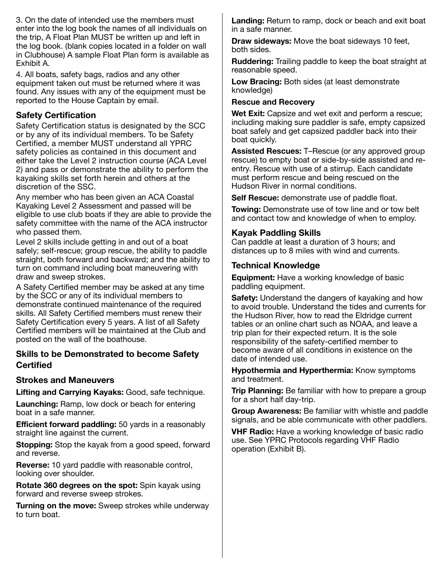3. On the date of intended use the members must enter into the log book the names of all individuals on the trip, A Float Plan MUST be written up and left in the log book. (blank copies located in a folder on wall in Clubhouse) A sample Float Plan form is available as Exhibit A.

4. All boats, safety bags, radios and any other equipment taken out must be returned where it was found. Any issues with any of the equipment must be reported to the House Captain by email.

# **Safety Certification**

Safety Certification status is designated by the SCC or by any of its individual members. To be Safety Certified, a member MUST understand all YPRC safety policies as contained in this document and either take the Level 2 instruction course (ACA Level 2) and pass or demonstrate the ability to perform the kayaking skills set forth herein and others at the discretion of the SSC.

Any member who has been given an ACA Coastal Kayaking Level 2 Assessment and passed will be eligible to use club boats if they are able to provide the safety committee with the name of the ACA instructor who passed them.

Level 2 skills include getting in and out of a boat safely; self-rescue; group rescue, the ability to paddle straight, both forward and backward; and the ability to turn on command including boat maneuvering with draw and sweep strokes.

A Safety Certified member may be asked at any time by the SCC or any of its individual members to demonstrate continued maintenance of the required skills. All Safety Certified members must renew their Safety Certification every 5 years. A list of all Safety Certified members will be maintained at the Club and posted on the wall of the boathouse.

#### **Skills to be Demonstrated to become Safety Certified**

#### **Strokes and Maneuvers**

**Lifting and Carrying Kayaks:** Good, safe technique.

**Launching:** Ramp, low dock or beach for entering boat in a safe manner.

**Efficient forward paddling:** 50 yards in a reasonably straight line against the current.

**Stopping:** Stop the kayak from a good speed, forward and reverse.

**Reverse:** 10 yard paddle with reasonable control, looking over shoulder.

**Rotate 360 degrees on the spot:** Spin kayak using forward and reverse sweep strokes.

**Turning on the move:** Sweep strokes while underway to turn boat.

**Landing:** Return to ramp, dock or beach and exit boat in a safe manner.

**Draw sideways:** Move the boat sideways 10 feet, both sides.

**Ruddering:** Trailing paddle to keep the boat straight at reasonable speed.

**Low Bracing:** Both sides (at least demonstrate knowledge)

#### **Rescue and Recovery**

**Wet Exit:** Capsize and wet exit and perform a rescue; including making sure paddler is safe, empty capsized boat safely and get capsized paddler back into their boat quickly.

**Assisted Rescues:** T–Rescue (or any approved group rescue) to empty boat or side-by-side assisted and reentry. Rescue with use of a stirrup. Each candidate must perform rescue and being rescued on the Hudson River in normal conditions.

**Self Rescue:** demonstrate use of paddle float.

**Towing:** Demonstrate use of tow line and or tow belt and contact tow and knowledge of when to employ.

#### **Kayak Paddling Skills**

Can paddle at least a duration of 3 hours; and distances up to 8 miles with wind and currents.

#### **Technical Knowledge**

**Equipment:** Have a working knowledge of basic paddling equipment.

**Safety:** Understand the dangers of kayaking and how to avoid trouble. Understand the tides and currents for the Hudson River, how to read the Eldridge current tables or an online chart such as NOAA, and leave a trip plan for their expected return. It is the sole responsibility of the safety-certified member to become aware of all conditions in existence on the date of intended use.

#### **Hypothermia and Hyperthermia:** Know symptoms and treatment.

**Trip Planning:** Be familiar with how to prepare a group for a short half day-trip.

**Group Awareness:** Be familiar with whistle and paddle signals, and be able communicate with other paddlers.

**VHF Radio:** Have a working knowledge of basic radio use. See YPRC Protocols regarding VHF Radio operation (Exhibit B).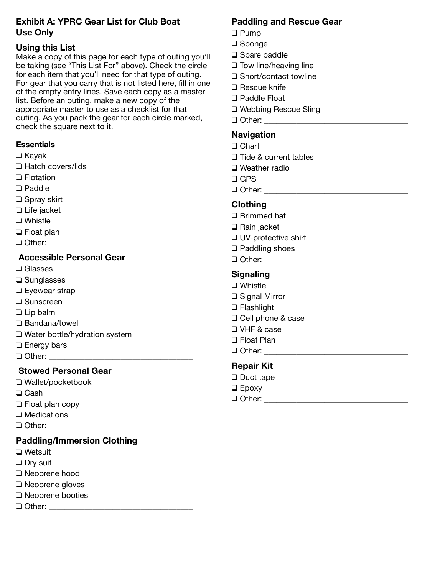# **Exhibit A: YPRC Gear List for Club Boat Use Only**

# **Using this List**

Make a copy of this page for each type of outing you'll be taking (see "This List For" above). Check the circle for each item that you'll need for that type of outing. For gear that you carry that is not listed here, fill in one of the empty entry lines. Save each copy as a master list. Before an outing, make a new copy of the appropriate master to use as a checklist for that outing. As you pack the gear for each circle marked, check the square next to it.

#### **Essentials**

- ❑ Kayak
- ❑ Hatch covers/lids
- ❑ Flotation
- ❑ Paddle
- ❑ Spray skirt
- ❑ Life jacket
- ❑ Whistle
- ❑ Float plan
- $\Box$  Other:

#### **Accessible Personal Gear**

- ❑ Glasses
- ❑ Sunglasses
- ❑ Eyewear strap
- ❑ Sunscreen
- ❑ Lip balm
- ❑ Bandana/towel
- ❑ Water bottle/hydration system
- ❑ Energy bars
- $\Box$  Other:

#### **Stowed Personal Gear**

- ❑ Wallet/pocketbook
- ❑ Cash
- ❑ Float plan copy
- ❑ Medications
- $\Box$  Other:

#### **Paddling/Immersion Clothing**

- ❑ Wetsuit
- ❑ Dry suit
- ❑ Neoprene hood
- ❑ Neoprene gloves
- ❑ Neoprene booties
- $\Box$  Other:

# **Paddling and Rescue Gear**

- ❑ Pump
- ❑ Sponge
- ❑ Spare paddle
- ❑ Tow line/heaving line
- ❑ Short/contact towline
- ❑ Rescue knife
- ❑ Paddle Float
- ❑ Webbing Rescue Sling
- ❑ Other: \_\_\_\_\_\_\_\_\_\_\_\_\_\_\_\_\_\_\_\_\_\_\_\_\_\_\_\_\_\_\_\_\_\_\_\_

#### **Navigation**

- ❑ Chart ❑ Tide & current tables
- ❑ Weather radio
- ❑ GPS
- ❑ Other: \_\_\_\_\_\_\_\_\_\_\_\_\_\_\_\_\_\_\_\_\_\_\_\_\_\_\_\_\_\_\_\_\_\_\_\_

#### **Clothing**

- ❑ Brimmed hat
- ❑ Rain jacket
- ❑ UV-protective shirt
- ❑ Paddling shoes
- ❑ Other: \_\_\_\_\_\_\_\_\_\_\_\_\_\_\_\_\_\_\_\_\_\_\_\_\_\_\_\_\_\_\_\_\_\_\_\_

#### **Signaling**

- ❑ Whistle
- ❑ Signal Mirror ❑ Flashlight
- ❑ Cell phone & case
- ❑ VHF & case
- ❑ Float Plan
- ❑ Other: \_\_\_\_\_\_\_\_\_\_\_\_\_\_\_\_\_\_\_\_\_\_\_\_\_\_\_\_\_\_\_\_\_\_\_\_

# **Repair Kit**

- ❑ Duct tape ❑ Epoxy
- ❑ Other: \_\_\_\_\_\_\_\_\_\_\_\_\_\_\_\_\_\_\_\_\_\_\_\_\_\_\_\_\_\_\_\_\_\_\_\_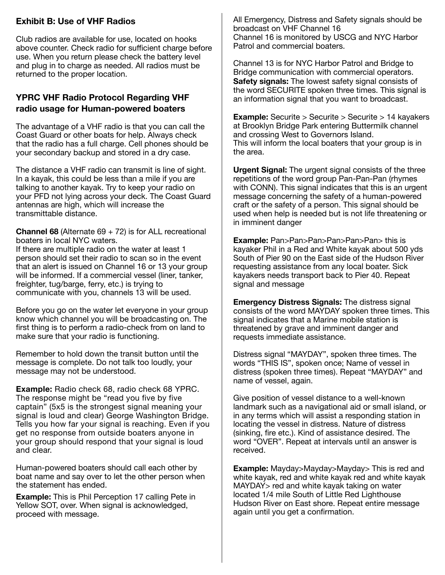#### **Exhibit B: Use of VHF Radios**

Club radios are available for use, located on hooks above counter. Check radio for sufficient charge before use. When you return please check the battery level and plug in to charge as needed. All radios must be returned to the proper location.

#### **YPRC VHF Radio Protocol Regarding VHF radio usage for Human-powered boaters**

The advantage of a VHF radio is that you can call the Coast Guard or other boats for help. Always check that the radio has a full charge. Cell phones should be your secondary backup and stored in a dry case.

The distance a VHF radio can transmit is line of sight. In a kayak, this could be less than a mile if you are talking to another kayak. Try to keep your radio on your PFD not lying across your deck. The Coast Guard antennas are high, which will increase the transmittable distance.

**Channel 68** (Alternate 69 + 72) is for ALL recreational boaters in local NYC waters.

If there are multiple radio on the water at least 1 person should set their radio to scan so in the event that an alert is issued on Channel 16 or 13 your group will be informed. If a commercial vessel (liner, tanker, freighter, tug/barge, ferry, etc.) is trying to communicate with you, channels 13 will be used.

Before you go on the water let everyone in your group know which channel you will be broadcasting on. The first thing is to perform a radio-check from on land to make sure that your radio is functioning.

Remember to hold down the transit button until the message is complete. Do not talk too loudly, your message may not be understood.

**Example:** Radio check 68, radio check 68 YPRC. The response might be "read you five by five captain" (5x5 is the strongest signal meaning your signal is loud and clear) George Washington Bridge. Tells you how far your signal is reaching. Even if you get no response from outside boaters anyone in your group should respond that your signal is loud and clear.

Human-powered boaters should call each other by boat name and say over to let the other person when the statement has ended.

**Example:** This is Phil Perception 17 calling Pete in Yellow SOT, over. When signal is acknowledged, proceed with message.

All Emergency, Distress and Safety signals should be broadcast on VHF Channel 16 Channel 16 is monitored by USCG and NYC Harbor Patrol and commercial boaters.

Channel 13 is for NYC Harbor Patrol and Bridge to Bridge communication with commercial operators. **Safety signals:** The lowest safety signal consists of the word SECURITE spoken three times. This signal is an information signal that you want to broadcast.

**Example:** Securite > Securite > Securite > 14 kayakers at Brooklyn Bridge Park entering Buttermilk channel and crossing West to Governors Island. This will inform the local boaters that your group is in the area.

**Urgent Signal:** The urgent signal consists of the three repetitions of the word group Pan-Pan-Pan (rhymes with CONN). This signal indicates that this is an urgent message concerning the safety of a human-powered craft or the safety of a person. This signal should be used when help is needed but is not life threatening or in imminent danger

**Example:** Pan>Pan>Pan>Pan>Pan>Pan> this is kayaker Phil in a Red and White kayak about 500 yds South of Pier 90 on the East side of the Hudson River requesting assistance from any local boater. Sick kayakers needs transport back to Pier 40. Repeat signal and message

**Emergency Distress Signals:** The distress signal consists of the word MAYDAY spoken three times. This signal indicates that a Marine mobile station is threatened by grave and imminent danger and requests immediate assistance.

Distress signal "MAYDAY", spoken three times. The words "THIS IS", spoken once; Name of vessel in distress (spoken three times). Repeat "MAYDAY" and name of vessel, again.

Give position of vessel distance to a well-known landmark such as a navigational aid or small island, or in any terms which will assist a responding station in locating the vessel in distress. Nature of distress (sinking, fire etc.). Kind of assistance desired. The word "OVER". Repeat at intervals until an answer is received.

**Example:** Mayday>Mayday>Mayday> This is red and white kayak, red and white kayak red and white kayak MAYDAY> red and white kayak taking on water located 1/4 mile South of Little Red Lighthouse Hudson River on East shore. Repeat entire message again until you get a confirmation.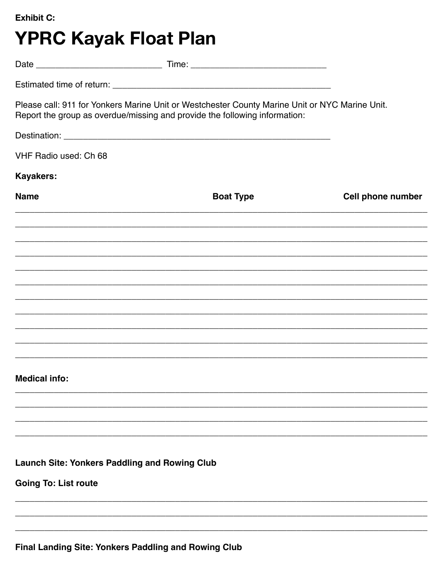**Exhibit C:** 

# **YPRC Kayak Float Plan**

| Report the group as overdue/missing and provide the following information: | Please call: 911 for Yonkers Marine Unit or Westchester County Marine Unit or NYC Marine Unit. |                          |
|----------------------------------------------------------------------------|------------------------------------------------------------------------------------------------|--------------------------|
|                                                                            |                                                                                                |                          |
| VHF Radio used: Ch 68                                                      |                                                                                                |                          |
| <b>Kayakers:</b>                                                           |                                                                                                |                          |
| <b>Name</b>                                                                | <b>Boat Type</b>                                                                               | <b>Cell phone number</b> |
|                                                                            |                                                                                                |                          |
|                                                                            |                                                                                                |                          |
|                                                                            | ,我们也不能会在这里,我们也不能会在这里,我们也不能会在这里,我们也不能会在这里,我们也不能会在这里,我们也不能会在这里,我们也不能会不能会不能会。""我们,我们              |                          |
|                                                                            |                                                                                                |                          |
|                                                                            |                                                                                                |                          |
|                                                                            |                                                                                                |                          |
|                                                                            |                                                                                                |                          |
|                                                                            |                                                                                                |                          |
| <b>Medical info:</b>                                                       |                                                                                                |                          |
|                                                                            |                                                                                                |                          |
|                                                                            |                                                                                                |                          |
|                                                                            |                                                                                                |                          |
| <b>Launch Site: Yonkers Paddling and Rowing Club</b>                       |                                                                                                |                          |
| <b>Going To: List route</b>                                                |                                                                                                |                          |
|                                                                            |                                                                                                |                          |

Final Landing Site: Yonkers Paddling and Rowing Club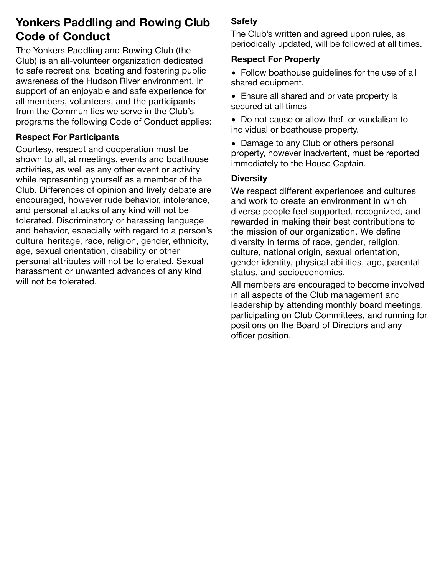# **Yonkers Paddling and Rowing Club Code of Conduct**

The Yonkers Paddling and Rowing Club (the Club) is an all-volunteer organization dedicated to safe recreational boating and fostering public awareness of the Hudson River environment. In support of an enjoyable and safe experience for all members, volunteers, and the participants from the Communities we serve in the Club's programs the following Code of Conduct applies:

# **Respect For Participants**

Courtesy, respect and cooperation must be shown to all, at meetings, events and boathouse activities, as well as any other event or activity while representing yourself as a member of the Club. Differences of opinion and lively debate are encouraged, however rude behavior, intolerance, and personal attacks of any kind will not be tolerated. Discriminatory or harassing language and behavior, especially with regard to a person's cultural heritage, race, religion, gender, ethnicity, age, sexual orientation, disability or other personal attributes will not be tolerated. Sexual harassment or unwanted advances of any kind will not be tolerated.

# **Safety**

The Club's written and agreed upon rules, as periodically updated, will be followed at all times.

# **Respect For Property**

• Follow boathouse guidelines for the use of all shared equipment.

• Ensure all shared and private property is secured at all times

• Do not cause or allow theft or vandalism to individual or boathouse property.

• Damage to any Club or others personal property, however inadvertent, must be reported immediately to the House Captain.

# **Diversity**

We respect different experiences and cultures and work to create an environment in which diverse people feel supported, recognized, and rewarded in making their best contributions to the mission of our organization. We define diversity in terms of race, gender, religion, culture, national origin, sexual orientation, gender identity, physical abilities, age, parental status, and socioeconomics.

All members are encouraged to become involved in all aspects of the Club management and leadership by attending monthly board meetings, participating on Club Committees, and running for positions on the Board of Directors and any officer position.